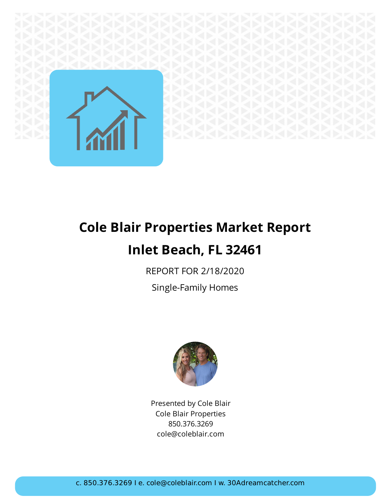

# **Cole Blair Properties Market Report Inlet Beach, FL 32461**

REPORT FOR 2/18/2020

Single-Family Homes



Presented by Cole Blair Cole Blair Properties 850.376.3269 cole@coleblair.com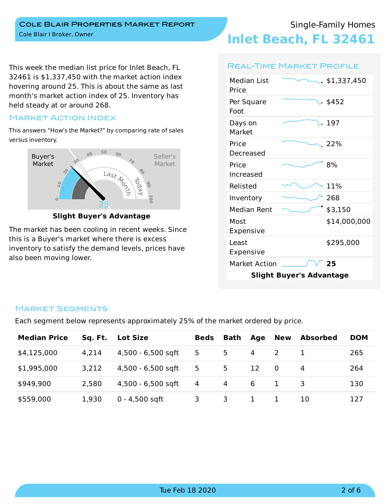**Inlet Beach, FL 32461**

This week the median list price for Inlet Beach, FL 32461 is \$1,337,450 with the market action index hovering around 25. This is about the same as last month's market action index of 25. Inventory has held steady at or around 268.

### Market Action Index

This answers "How's the Market?" by comparing rate of sales versus inventory.



**Slight Buyer's Advantage**

The market has been cooling in recent weeks. Since this is a Buyer's market where there is excess inventory to satisfy the demand levels, prices have also been moving lower.

### Real-Time Market Profile

| <b>Median List</b>              | . \$1,337,450 |  |  |  |  |  |  |
|---------------------------------|---------------|--|--|--|--|--|--|
| Price<br>Per Square<br>Foot     | $.$ \$452     |  |  |  |  |  |  |
| Days on<br>Market               | . 197         |  |  |  |  |  |  |
| Price<br>Decreased              | $-22\%$       |  |  |  |  |  |  |
| Price<br>Increased              | 8%            |  |  |  |  |  |  |
| Relisted                        | 11%           |  |  |  |  |  |  |
| Inventory                       | 268           |  |  |  |  |  |  |
| Median Rent                     | \$3,150       |  |  |  |  |  |  |
| Most<br>Expensive               | \$14,000,000  |  |  |  |  |  |  |
| Least<br>Expensive              | \$295,000     |  |  |  |  |  |  |
| <b>Market Action</b>            | 25            |  |  |  |  |  |  |
| <b>Slight Buyer's Advantage</b> |               |  |  |  |  |  |  |

### Market Segments

Each segment below represents approximately 25% of the market ordered by price.

| <b>Median Price</b> | Sq. Ft. | <b>Lot Size</b>    | <b>Beds</b> | Bath | Age | New      | <b>Absorbed</b> | <b>DOM</b> |
|---------------------|---------|--------------------|-------------|------|-----|----------|-----------------|------------|
| \$4,125,000         | 4,214   | 4,500 - 6,500 sqft | 5           | 5    | 4   |          |                 | 265        |
| \$1,995,000         | 3,212   | 4,500 - 6,500 sqft | 5           | 5    | 12  | $\Omega$ | 4               | 264        |
| \$949,900           | 2,580   | 4,500 - 6,500 sqft | 4           | 4    | 6   |          |                 | 130        |
| \$559,000           | 1,930   | $0 - 4,500$ sqft   | 3.          | 3.   |     |          | 10              | 127        |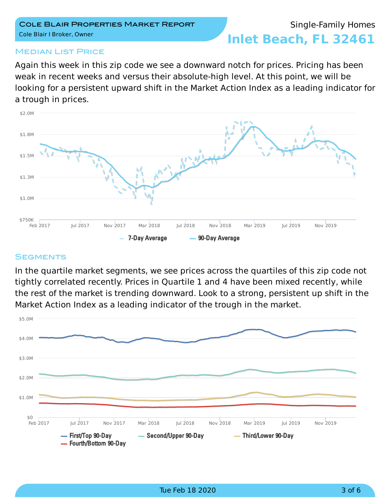## Single-Family Homes

**Inlet Beach, FL 32461**

### **MEDIAN LIST PRICE**

Again this week in this zip code we see a downward notch for prices. Pricing has been weak in recent weeks and versus their absolute-high level. At this point, we will be looking for a persistent upward shift in the Market Action Index as a leading indicator for a trough in prices.



#### **SEGMENTS**

In the quartile market segments, we see prices across the quartiles of this zip code not tightly correlated recently. Prices in Quartile 1 and 4 have been mixed recently, while the rest of the market is trending downward. Look to a strong, persistent up shift in the Market Action Index as a leading indicator of the trough in the market.

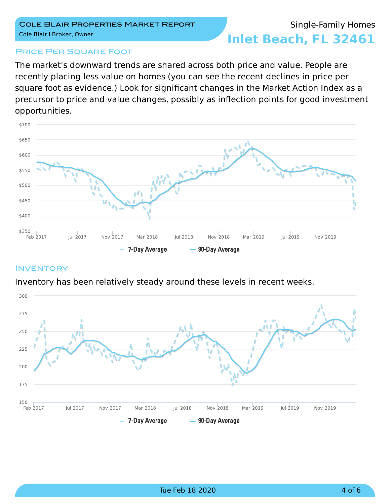### Single-Family Homes

**Inlet Beach, FL 32461**

### **PRICE PER SQUARE FOOT**

The market's downward trends are shared across both price and value. People are recently placing less value on homes (you can see the recent declines in price per square foot as evidence.) Look for significant changes in the Market Action Index as a precursor to price and value changes, possibly as inflection points for good investment opportunities.



### **INVENTORY**

Inventory has been relatively steady around these levels in recent weeks.

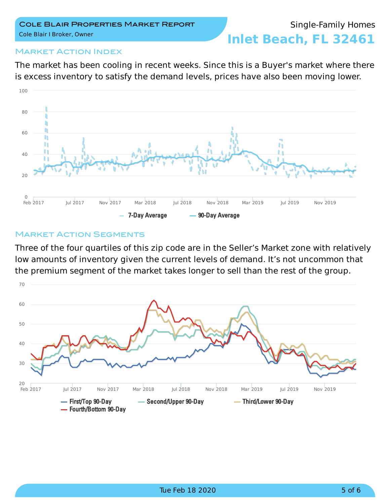### Market Action Index

The market has been cooling in recent weeks. Since this is a Buyer's market where there is excess inventory to satisfy the demand levels, prices have also been moving lower.



### **MARKET ACTION SEGMENTS**

Three of the four quartiles of this zip code are in the Seller's Market zone with relatively low amounts of inventory given the current levels of demand. It's not uncommon that the premium segment of the market takes longer to sell than the rest of the group.